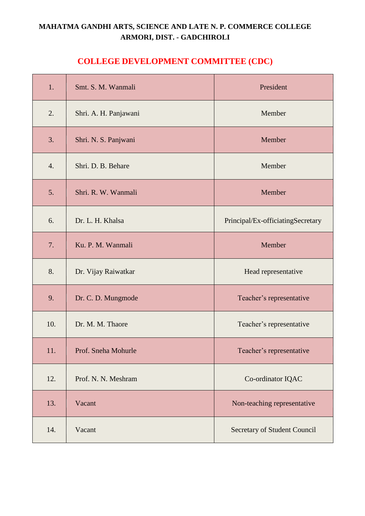# **MAHATMA GANDHI ARTS, SCIENCE AND LATE N. P. COMMERCE COLLEGE ARMORI, DIST. - GADCHIROLI**

# **COLLEGE DEVELOPMENT COMMITTEE (CDC)**

| 1.               | Smt. S. M. Wanmali    | President                         |
|------------------|-----------------------|-----------------------------------|
| 2.               | Shri. A. H. Panjawani | Member                            |
| 3.               | Shri. N. S. Panjwani  | Member                            |
| $\overline{4}$ . | Shri. D. B. Behare    | Member                            |
| 5.               | Shri. R. W. Wanmali   | Member                            |
| 6.               | Dr. L. H. Khalsa      | Principal/Ex-officiatingSecretary |
| 7.               | Ku. P. M. Wanmali     | Member                            |
| 8.               | Dr. Vijay Raiwatkar   | Head representative               |
| 9.               | Dr. C. D. Mungmode    | Teacher's representative          |
| 10.              | Dr. M. M. Thaore      | Teacher's representative          |
| 11.              | Prof. Sneha Mohurle   | Teacher's representative          |
| 12.              | Prof. N. N. Meshram   | Co-ordinator IQAC                 |
| 13.              | Vacant                | Non-teaching representative       |
| 14.              | Vacant                | Secretary of Student Council      |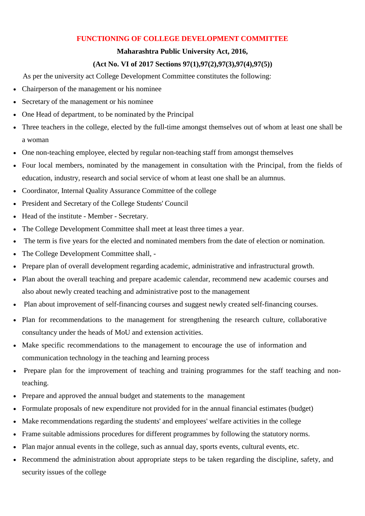## **FUNCTIONING OF COLLEGE DEVELOPMENT COMMITTEE**

### **Maharashtra Public University Act, 2016,**

### **(Act No. VI of 2017 Sections 97(1),97(2),97(3),97(4),97(5))**

As per the university act College Development Committee constitutes the following:

- Chairperson of the management or his nominee
- Secretary of the management or his nominee
- One Head of department, to be nominated by the Principal
- Three teachers in the college, elected by the full-time amongst themselves out of whom at least one shall be a woman
- One non-teaching employee, elected by regular non-teaching staff from amongst themselves
- Four local members, nominated by the management in consultation with the Principal, from the fields of education, industry, research and social service of whom at least one shall be an alumnus.
- Coordinator, Internal Quality Assurance Committee of the college
- President and Secretary of the College Students' Council
- Head of the institute Member Secretary.
- The College Development Committee shall meet at least three times a year.
- The term is five years for the elected and nominated members from the date of election or nomination.
- The College Development Committee shall, -
- Prepare plan of overall development regarding academic, administrative and infrastructural growth.
- Plan about the overall teaching and prepare academic calendar, recommend new academic courses and also about newly created teaching and administrative post to the management
- Plan about improvement of self-financing courses and suggest newly created self-financing courses.
- Plan for recommendations to the management for strengthening the research culture, collaborative consultancy under the heads of MoU and extension activities.
- Make specific recommendations to the management to encourage the use of information and communication technology in the teaching and learning process
- Prepare plan for the improvement of teaching and training programmes for the staff teaching and nonteaching.
- Prepare and approved the annual budget and statements to the management
- Formulate proposals of new expenditure not provided for in the annual financial estimates (budget)
- Make recommendations regarding the students' and employees' welfare activities in the college
- Frame suitable admissions procedures for different programmes by following the statutory norms.
- Plan major annual events in the college, such as annual day, sports events, cultural events, etc.
- Recommend the administration about appropriate steps to be taken regarding the discipline, safety, and security issues of the college